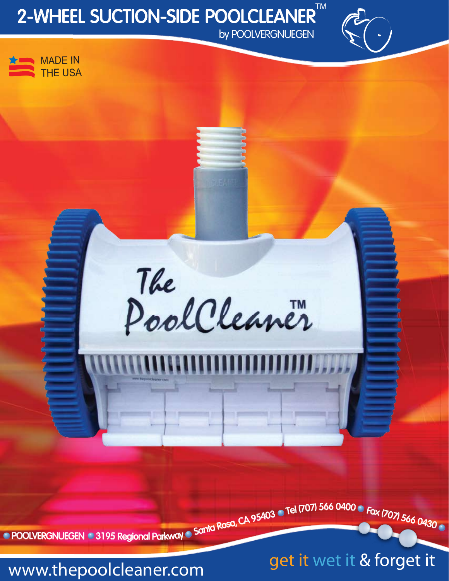# 2-WHEEL SUCTION-SIDE POOLCLEANER™

by POOLVERGNUEGEN



The PoolCleaner

POOLVERGNUEGEN 3195 Regional Parkway Santa Rosa, CA 95403 CTel (707) 566 0400 C Fax (707) 566 0430

get it wet it & forget it

www.thepoolcleaner.com